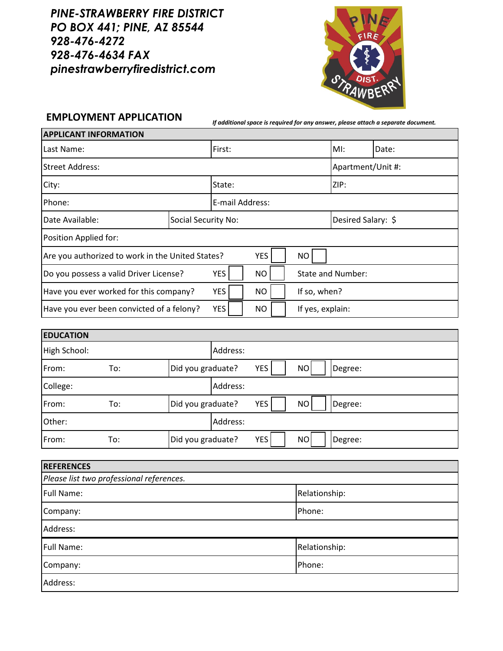*PINE-STRAWBERRY FIRE DISTRICT PO BOX 441; PINE, AZ 85544 928-476-4272 928-476-4634 FAX pinestrawberryfiredistrict.com*



**EMPLOYMENT APPLICATION** *If additional space is required for any answer, please attach a separate document.*

| <b>APPLICANT INFORMATION</b>                                                |                     |        |                   |                    |                  |       |  |
|-----------------------------------------------------------------------------|---------------------|--------|-------------------|--------------------|------------------|-------|--|
| Last Name:                                                                  |                     |        | First:            |                    | MI:              | Date: |  |
| <b>Street Address:</b>                                                      |                     |        | Apartment/Unit #: |                    |                  |       |  |
| City:                                                                       |                     | State: |                   |                    | ZIP:             |       |  |
| Phone:                                                                      | E-mail Address:     |        |                   |                    |                  |       |  |
| Date Available:                                                             | Social Security No: |        |                   | Desired Salary: \$ |                  |       |  |
| Position Applied for:                                                       |                     |        |                   |                    |                  |       |  |
| <b>YES</b><br>Are you authorized to work in the United States?<br><b>NO</b> |                     |        |                   |                    |                  |       |  |
| <b>YES</b><br>Do you possess a valid Driver License?<br><b>NO</b>           |                     |        |                   | State and Number:  |                  |       |  |
| Have you ever worked for this company?<br><b>YES</b>                        |                     |        | <b>NO</b>         |                    | If so, when?     |       |  |
| <b>YES</b><br>Have you ever been convicted of a felony?                     |                     |        | <b>NO</b>         |                    | If yes, explain: |       |  |

| <b>EDUCATION</b> |     |                   |          |     |                      |
|------------------|-----|-------------------|----------|-----|----------------------|
| High School:     |     |                   | Address: |     |                      |
| From:            | To: | Did you graduate? |          | YES | NO<br>Degree:        |
| College:         |     |                   | Address: |     |                      |
| From:            | To: | Did you graduate? |          | YES | <b>NO</b><br>Degree: |
| Other:           |     |                   | Address: |     |                      |
| From:            | To: | Did you graduate? |          | YES | NO<br>Degree:        |

| <b>REFERENCES</b>                        |               |  |  |
|------------------------------------------|---------------|--|--|
| Please list two professional references. |               |  |  |
| <b>Full Name:</b>                        | Relationship: |  |  |
| Company:                                 | Phone:        |  |  |
| Address:                                 |               |  |  |
| Full Name:                               | Relationship: |  |  |
| Company:                                 | Phone:        |  |  |
| Address:                                 |               |  |  |